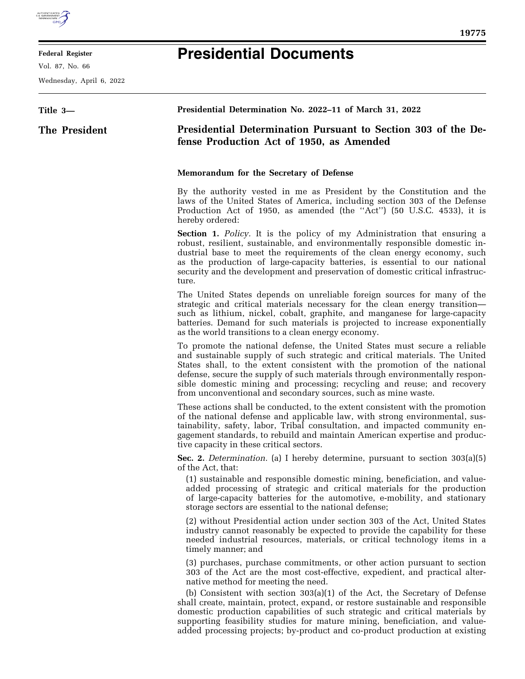

## **Federal Register**

Vol. 87, No. 66

Wednesday, April 6, 2022

## **Presidential Documents**

| Title 3-      | Presidential Determination No. 2022–11 of March 31, 2022                                                                                                                                                                                                                                                                                                                                                                                                                                                                                                                                                      |
|---------------|---------------------------------------------------------------------------------------------------------------------------------------------------------------------------------------------------------------------------------------------------------------------------------------------------------------------------------------------------------------------------------------------------------------------------------------------------------------------------------------------------------------------------------------------------------------------------------------------------------------|
| The President | Presidential Determination Pursuant to Section 303 of the De-<br>fense Production Act of 1950, as Amended                                                                                                                                                                                                                                                                                                                                                                                                                                                                                                     |
|               | Memorandum for the Secretary of Defense                                                                                                                                                                                                                                                                                                                                                                                                                                                                                                                                                                       |
|               | By the authority vested in me as President by the Constitution and the<br>laws of the United States of America, including section 303 of the Defense<br>Production Act of 1950, as amended (the "Act") (50 U.S.C. 4533), it is<br>hereby ordered:                                                                                                                                                                                                                                                                                                                                                             |
|               | <b>Section 1.</b> Policy. It is the policy of my Administration that ensuring a<br>robust, resilient, sustainable, and environmentally responsible domestic in-<br>dustrial base to meet the requirements of the clean energy economy, such<br>as the production of large-capacity batteries, is essential to our national<br>security and the development and preservation of domestic critical infrastruc-<br>ture.                                                                                                                                                                                         |
|               | The United States depends on unreliable foreign sources for many of the<br>strategic and critical materials necessary for the clean energy transition-<br>such as lithium, nickel, cobalt, graphite, and manganese for large-capacity<br>batteries. Demand for such materials is projected to increase exponentially<br>as the world transitions to a clean energy economy.                                                                                                                                                                                                                                   |
|               | To promote the national defense, the United States must secure a reliable<br>and sustainable supply of such strategic and critical materials. The United<br>States shall, to the extent consistent with the promotion of the national<br>defense, secure the supply of such materials through environmentally respon-<br>sible domestic mining and processing; recycling and reuse; and recovery<br>from unconventional and secondary sources, such as mine waste.                                                                                                                                            |
|               | These actions shall be conducted, to the extent consistent with the promotion<br>of the national defense and applicable law, with strong environmental, sus-<br>tainability, safety, labor, Tribal consultation, and impacted community en-<br>gagement standards, to rebuild and maintain American expertise and produc-<br>tive capacity in these critical sectors.                                                                                                                                                                                                                                         |
|               | Sec. 2. Determination. (a) I hereby determine, pursuant to section 303(a)(5)<br>of the Act, that:                                                                                                                                                                                                                                                                                                                                                                                                                                                                                                             |
|               | (1) sustainable and responsible domestic mining, beneficiation, and value-<br>added processing of strategic and critical materials for the production<br>of large-capacity batteries for the automotive, e-mobility, and stationary<br>storage sectors are essential to the national defense;                                                                                                                                                                                                                                                                                                                 |
|               | (2) without Presidential action under section 303 of the Act, United States<br>industry cannot reasonably be expected to provide the capability for these<br>needed industrial resources, materials, or critical technology items in a<br>timely manner; and                                                                                                                                                                                                                                                                                                                                                  |
|               | (3) purchases, purchase commitments, or other action pursuant to section<br>303 of the Act are the most cost-effective, expedient, and practical alter-<br>native method for meeting the need.<br>(b) Consistent with section 303(a)(1) of the Act, the Secretary of Defense<br>shall create, maintain, protect, expand, or restore sustainable and responsible<br>domestic production capabilities of such strategic and critical materials by<br>supporting feasibility studies for mature mining, beneficiation, and value-<br>added processing projects; by-product and co-product production at existing |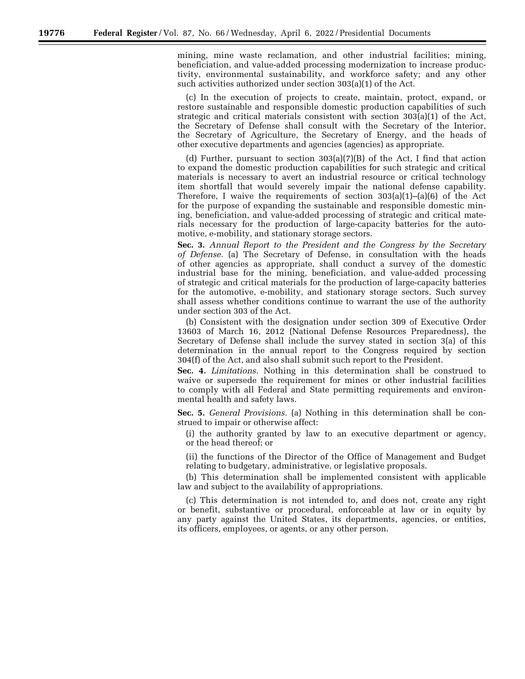mining, mine waste reclamation, and other industrial facilities; mining, beneficiation, and value-added processing modernization to increase productivity, environmental sustainability, and workforce safety; and any other such activities authorized under section 303(a)(1) of the Act.

(c) In the execution of projects to create, maintain, protect, expand, or restore sustainable and responsible domestic production capabilities of such strategic and critical materials consistent with section 303(a)(1) of the Act, the Secretary of Defense shall consult with the Secretary of the Interior, the Secretary of Agriculture, the Secretary of Energy, and the heads of other executive departments and agencies (agencies) as appropriate.

(d) Further, pursuant to section 303(a)(7)(B) of the Act, I find that action to expand the domestic production capabilities for such strategic and critical materials is necessary to avert an industrial resource or critical technology item shortfall that would severely impair the national defense capability. Therefore, I waive the requirements of section  $303(a)(1)$ –(a)(6) of the Act for the purpose of expanding the sustainable and responsible domestic mining, beneficiation, and value-added processing of strategic and critical materials necessary for the production of large-capacity batteries for the automotive, e-mobility, and stationary storage sectors.

**Sec. 3.** *Annual Report to the President and the Congress by the Secretary of Defense.* (a) The Secretary of Defense, in consultation with the heads of other agencies as appropriate, shall conduct a survey of the domestic industrial base for the mining, beneficiation, and value-added processing of strategic and critical materials for the production of large-capacity batteries for the automotive, e-mobility, and stationary storage sectors. Such survey shall assess whether conditions continue to warrant the use of the authority under section 303 of the Act.

(b) Consistent with the designation under section 309 of Executive Order 13603 of March 16, 2012 (National Defense Resources Preparedness), the Secretary of Defense shall include the survey stated in section 3(a) of this determination in the annual report to the Congress required by section 304(f) of the Act, and also shall submit such report to the President.

**Sec. 4.** *Limitations.* Nothing in this determination shall be construed to waive or supersede the requirement for mines or other industrial facilities to comply with all Federal and State permitting requirements and environmental health and safety laws.

**Sec. 5.** *General Provisions.* (a) Nothing in this determination shall be construed to impair or otherwise affect:

(i) the authority granted by law to an executive department or agency, or the head thereof; or

(ii) the functions of the Director of the Office of Management and Budget relating to budgetary, administrative, or legislative proposals.

(b) This determination shall be implemented consistent with applicable law and subject to the availability of appropriations.

(c) This determination is not intended to, and does not, create any right or benefit, substantive or procedural, enforceable at law or in equity by any party against the United States, its departments, agencies, or entities, its officers, employees, or agents, or any other person.